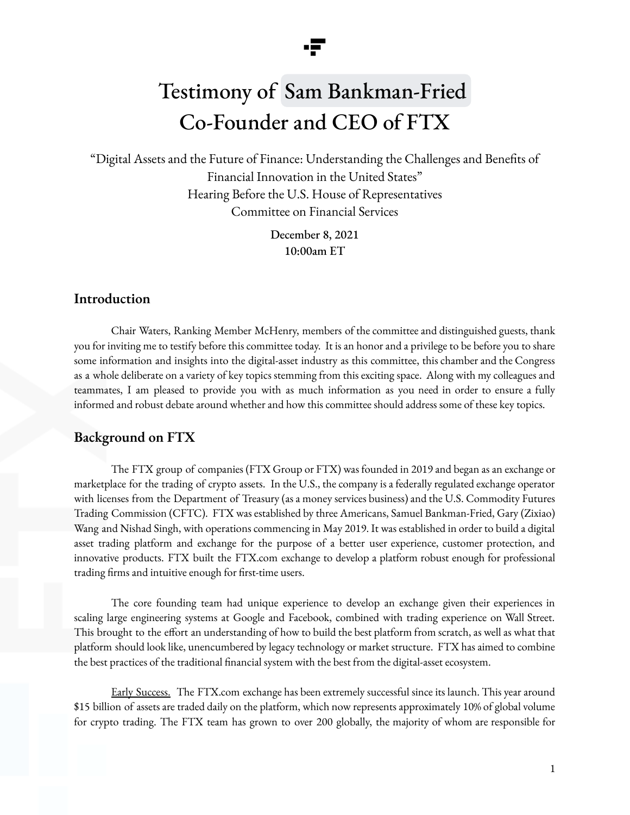

"Digital Assets and the Future of Finance: Understanding the Challenges and Benefits of Financial Innovation in the United States" Hearing Before the U.S. House of Representatives Committee on Financial Services

> December 8, 2021 10:00am ET

### **Introduction**

Chair Waters, Ranking Member McHenry, members of the committee and distinguished guests, thank you for inviting me to testify before this committee today. It is an honor and a privilege to be before you to share some information and insights into the digital-asset industry as this committee, this chamber and the Congress as a whole deliberate on a variety of key topics stemming from this exciting space. Along with my colleagues and teammates, I am pleased to provide you with as much information as you need in order to ensure a fully informed and robust debate around whether and how this committee should address some of these key topics.

### **Background on FTX**

The FTX group of companies (FTX Group or FTX) was founded in 2019 and began as an exchange or marketplace for the trading of crypto assets. In the U.S., the company is a federally regulated exchange operator with licenses from the Department of Treasury (as a money services business) and the U.S. Commodity Futures Trading Commission (CFTC). FTX was established by three Americans, Samuel Bankman-Fried, Gary (Zixiao) Wang and Nishad Singh, with operations commencing in May 2019. It was established in order to build a digital asset trading platform and exchange for the purpose of a better user experience, customer protection, and innovative products. FTX built the FTX.com exchange to develop a platform robust enough for professional trading firms and intuitive enough for first-time users.

The core founding team had unique experience to develop an exchange given their experiences in scaling large engineering systems at Google and Facebook, combined with trading experience on Wall Street. This brought to the effort an understanding of how to build the best platform from scratch, as well as what that platform should look like, unencumbered by legacy technology or market structure. FTX has aimed to combine the best practices of the traditional financial system with the best from the digital-asset ecosystem.

Early Success. The FTX.com exchange has been extremely successful since its launch. This year around \$15 billion of assets are traded daily on the platform, which now represents approximately 10% of global volume for crypto trading. The FTX team has grown to over 200 globally, the majority of whom are responsible for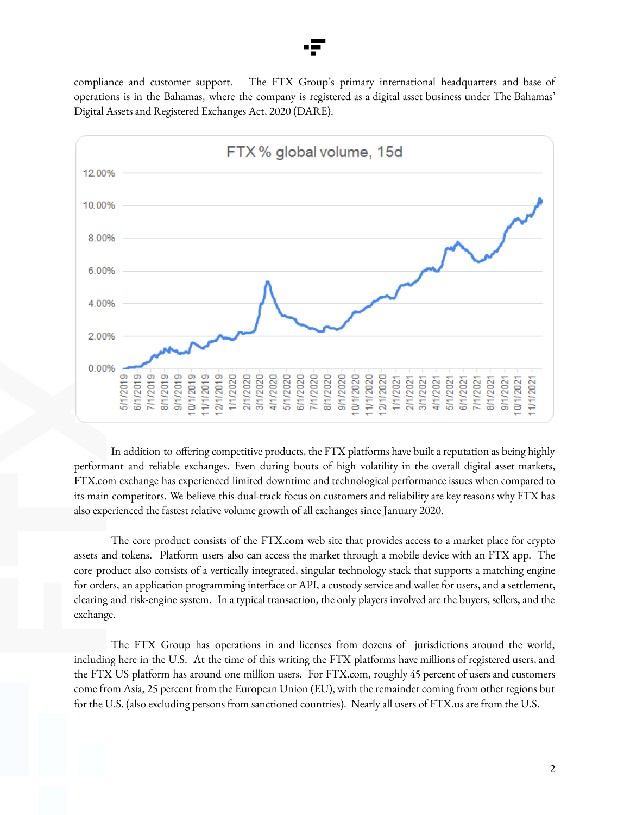compliance and customer support. The FTX Group's primary international headquarters and base of operations is in the Bahamas, where the company is registered as a digital asset business under The Bahamas' Digital Assets and Registered Exchanges Act, 2020 (DARE).



In addition to offering competitive products, the FTX platforms have built a reputation as being highly performant and reliable exchanges. Even during bouts of high volatility in the overall digital asset markets, FTX.com exchange has experienced limited downtime and technological performance issues when compared to its main competitors. We believe this dual-track focus on customers and reliability are key reasons why FTX has also experienced the fastest relative volume growth of all exchanges since January 2020.

The core product consists of the FTX.com web site that provides access to a market place for crypto assets and tokens. Platform users also can access the market through a mobile device with an FTX app. The core product also consists of a vertically integrated, singular technology stack that supports a matching engine for orders, an application programming interface or API, a custody service and wallet for users, and a settlement, clearing and risk-engine system. In a typical transaction, the only players involved are the buyers, sellers, and the exchange.

The FTX Group has operations in and licenses from dozens of jurisdictions around the world, including here in the U.S. At the time of this writing the FTX platforms have millions of registered users, and the FTX US platform has around one million users. For FTX.com, roughly 45 percent of users and customers come from Asia, 25 percent from the European Union (EU), with the remainder coming from other regions but for the U.S. (also excluding persons from sanctioned countries). Nearly all users of FTX.us are from the U.S.

2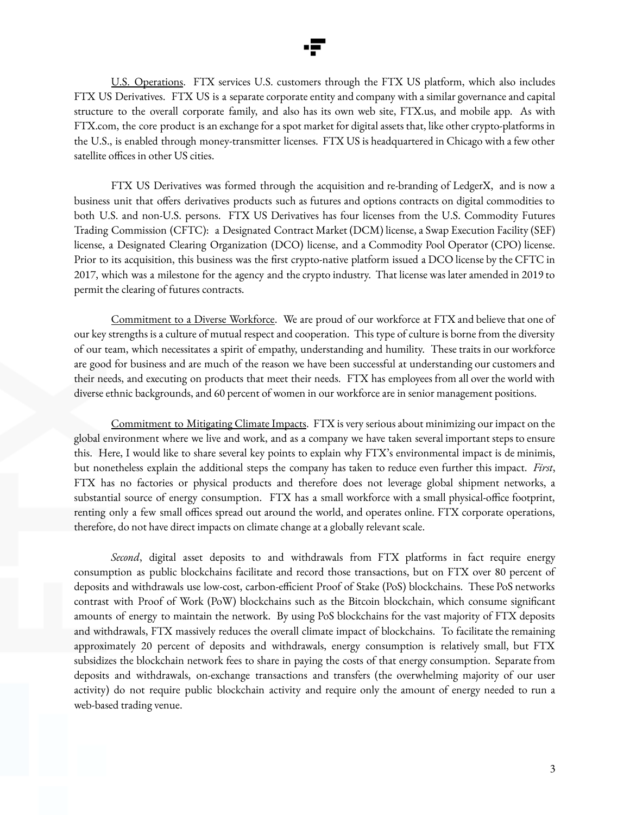

U.S. Operations. FTX services U.S. customers through the FTX US platform, which also includes FTX US Derivatives. FTX US is a separate corporate entity and company with a similar governance and capital structure to the overall corporate family, and also has its own web site, FTX.us, and mobile app. As with FTX.com, the core product is an exchange for a spot market for digital assets that, like other crypto-platforms in the U.S., is enabled through money-transmitter licenses. FTX US is headquartered in Chicago with a few other satellite offices in other US cities.

FTX US Derivatives was formed through the acquisition and re-branding of LedgerX, and is now a business unit that offers derivatives products such as futures and options contracts on digital commodities to both U.S. and non-U.S. persons. FTX US Derivatives has four licenses from the U.S. Commodity Futures Trading Commission (CFTC): a Designated Contract Market (DCM) license, a Swap Execution Facility (SEF) license, a Designated Clearing Organization (DCO) license, and a Commodity Pool Operator (CPO) license. Prior to its acquisition, this business was the first crypto-native platform issued a DCO license by the CFTC in 2017, which was a milestone for the agency and the crypto industry. That license was later amended in 2019 to permit the clearing of futures contracts.

Commitment to a Diverse Workforce. We are proud of our workforce at FTX and believe that one of our key strengths is a culture of mutual respect and cooperation. This type of culture is borne from the diversity of our team, which necessitates a spirit of empathy, understanding and humility. These traits in our workforce are good for business and are much of the reason we have been successful at understanding our customers and their needs, and executing on products that meet their needs. FTX has employees from all over the world with diverse ethnic backgrounds, and 60 percent of women in our workforce are in senior management positions.

Commitment to Mitigating Climate Impacts. FTX is very serious about minimizing our impact on the global environment where we live and work, and as a company we have taken several important steps to ensure this. Here, I would like to share several key points to explain why FTX's environmental impact is de minimis, but nonetheless explain the additional steps the company has taken to reduce even further this impact. *First*, FTX has no factories or physical products and therefore does not leverage global shipment networks, a substantial source of energy consumption. FTX has a small workforce with a small physical-office footprint, renting only a few small offices spread out around the world, and operates online. FTX corporate operations, therefore, do not have direct impacts on climate change at a globally relevant scale.

*Second*, digital asset deposits to and withdrawals from FTX platforms in fact require energy consumption as public blockchains facilitate and record those transactions, but on FTX over 80 percent of deposits and withdrawals use low-cost, carbon-efficient Proof of Stake (PoS) blockchains. These PoS networks contrast with Proof of Work (PoW) blockchains such as the Bitcoin blockchain, which consume significant amounts of energy to maintain the network. By using PoS blockchains for the vast majority of FTX deposits and withdrawals, FTX massively reduces the overall climate impact of blockchains. To facilitate the remaining approximately 20 percent of deposits and withdrawals, energy consumption is relatively small, but FTX subsidizes the blockchain network fees to share in paying the costs of that energy consumption. Separate from deposits and withdrawals, on-exchange transactions and transfers (the overwhelming majority of our user activity) do not require public blockchain activity and require only the amount of energy needed to run a web-based trading venue.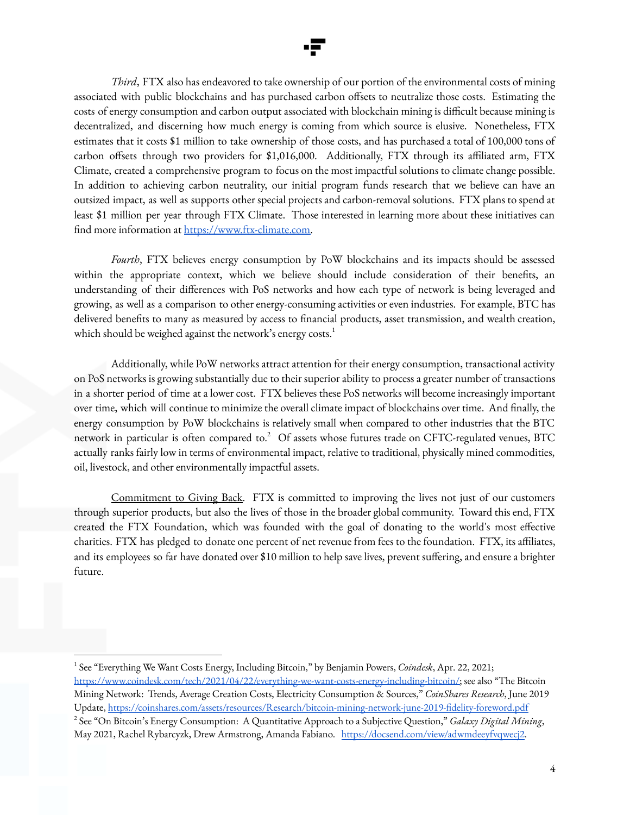

*Third*, FTX also has endeavored to take ownership of our portion of the environmental costs of mining associated with public blockchains and has purchased carbon offsets to neutralize those costs. Estimating the costs of energy consumption and carbon output associated with blockchain mining is difficult because mining is decentralized, and discerning how much energy is coming from which source is elusive. Nonetheless, FTX estimates that it costs \$1 million to take ownership of those costs, and has purchased a total of 100,000 tons of carbon offsets through two providers for \$1,016,000. Additionally, FTX through its affiliated arm, FTX Climate, created a comprehensive program to focus on the most impactful solutions to climate change possible. In addition to achieving carbon neutrality, our initial program funds research that we believe can have an outsized impact, as well as supports other special projects and carbon-removal solutions. FTX plans to spend at least \$1 million per year through FTX Climate. Those interested in learning more about these initiatives can find more information at [https://www.ftx-climate.com.](https://www.ftx-climate.com/offsets)

*Fourth*, FTX believes energy consumption by PoW blockchains and its impacts should be assessed within the appropriate context, which we believe should include consideration of their benefits, an understanding of their differences with PoS networks and how each type of network is being leveraged and growing, as well as a comparison to other energy-consuming activities or even industries. For example, BTC has delivered benefits to many as measured by access to financial products, asset transmission, and wealth creation, which should be weighed against the network's energy  $\mathrm{costs.}^{1}$ 

Additionally, while PoW networks attract attention for their energy consumption, transactional activity on PoS networks is growing substantially due to their superior ability to process a greater number of transactions in a shorter period of time at a lower cost. FTX believes these PoS networks will become increasingly important over time, which will continue to minimize the overall climate impact of blockchains over time. And finally, the energy consumption by PoW blockchains is relatively small when compared to other industries that the BTC network in particular is often compared to. $^2\;$  Of assets whose futures trade on CFTC-regulated venues, BTC actually ranks fairly low in terms of environmental impact, relative to traditional, physically mined commodities, oil, livestock, and other environmentally impactful assets.

Commitment to Giving Back. FTX is committed to improving the lives not just of our customers through superior products, but also the lives of those in the broader global community. Toward this end, FTX created the FTX Foundation, which was founded with the goal of donating to the world's most effective charities. FTX has pledged to donate one percent of net revenue from fees to the foundation. FTX, its affiliates, and its employees so far have donated over \$10 million to help save lives, prevent suffering, and ensure a brighter future.

<sup>2</sup> See "On Bitcoin's Energy Consumption: A Quantitative Approach to a Subjective Question," *Galaxy Digital Mining*, May 2021, Rachel Rybarcyzk, Drew Armstrong, Amanda Fabiano. <https://docsend.com/view/adwmdeeyfvqwecj2>. <sup>1</sup> See "Everything We Want Costs Energy, Including Bitcoin," by Benjamin Powers, *Coindesk*, Apr. 22, 2021; [https://www.coindesk.com/tech/2021/04/22/everything-we-want-costs-energy-including-bitcoin/;](https://www.coindesk.com/tech/2021/04/22/everything-we-want-costs-energy-including-bitcoin/) see also "The Bitcoin Mining Network: Trends, Average Creation Costs, Electricity Consumption & Sources," *CoinShares Research*, June 2019 Update, <https://coinshares.com/assets/resources/Research/bitcoin-mining-network-june-2019-fidelity-foreword.pdf>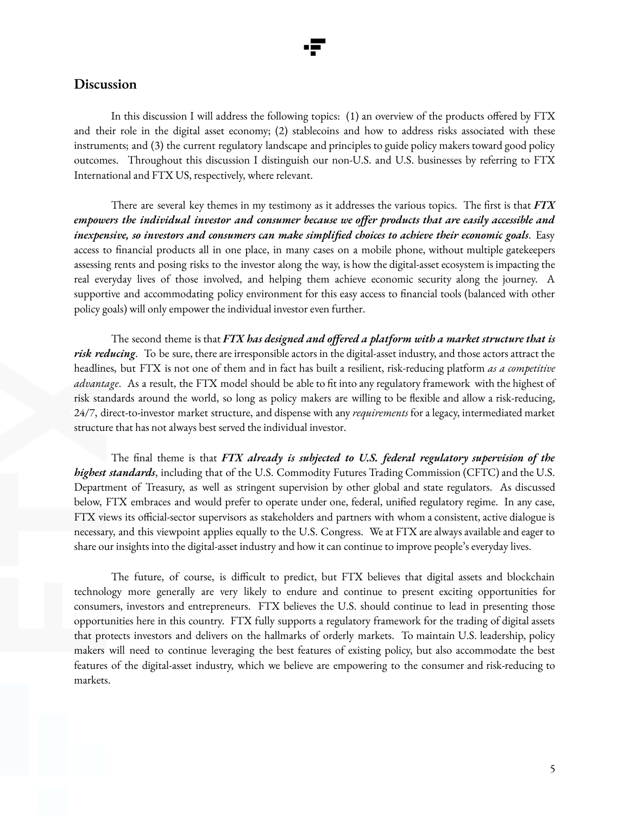### **Discussion**

In this discussion I will address the following topics: (1) an overview of the products offered by FTX and their role in the digital asset economy; (2) stablecoins and how to address risks associated with these instruments; and (3) the current regulatory landscape and principles to guide policy makers toward good policy outcomes. Throughout this discussion I distinguish our non-U.S. and U.S. businesses by referring to FTX International and FTX US, respectively, where relevant.

There are several key themes in my testimony as it addresses the various topics. The first is that *FTX empowers the individual investor and consumer because we offer products that are easily accessible and inexpensive, so investors and consumers can make simplified choices to achieve their economic goals*. Easy access to financial products all in one place, in many cases on a mobile phone, without multiple gatekeepers assessing rents and posing risks to the investor along the way, is how the digital-asset ecosystem is impacting the real everyday lives of those involved, and helping them achieve economic security along the journey. A supportive and accommodating policy environment for this easy access to financial tools (balanced with other policy goals) will only empower the individual investor even further.

The second theme is that *FTX has designed and offered a platform with a market structure that is risk reducing*. To be sure, there are irresponsible actors in the digital-asset industry, and those actors attract the headlines, but FTX is not one of them and in fact has built a resilient, risk-reducing platform *as a competitive advantage*. As a result, the FTX model should be able to fit into any regulatory framework with the highest of risk standards around the world, so long as policy makers are willing to be flexible and allow a risk-reducing, 24/7, direct-to-investor market structure, and dispense with any *requirements* for a legacy, intermediated market structure that has not always best served the individual investor.

The final theme is that *FTX already is subjected to U.S. federal regulatory supervision of the highest standards*, including that of the U.S. Commodity Futures Trading Commission (CFTC) and the U.S. Department of Treasury, as well as stringent supervision by other global and state regulators. As discussed below, FTX embraces and would prefer to operate under one, federal, unified regulatory regime. In any case, FTX views its official-sector supervisors as stakeholders and partners with whom a consistent, active dialogue is necessary, and this viewpoint applies equally to the U.S. Congress. We at FTX are always available and eager to share our insights into the digital-asset industry and how it can continue to improve people's everyday lives.

The future, of course, is difficult to predict, but FTX believes that digital assets and blockchain technology more generally are very likely to endure and continue to present exciting opportunities for consumers, investors and entrepreneurs. FTX believes the U.S. should continue to lead in presenting those opportunities here in this country. FTX fully supports a regulatory framework for the trading of digital assets that protects investors and delivers on the hallmarks of orderly markets. To maintain U.S. leadership, policy makers will need to continue leveraging the best features of existing policy, but also accommodate the best features of the digital-asset industry, which we believe are empowering to the consumer and risk-reducing to markets.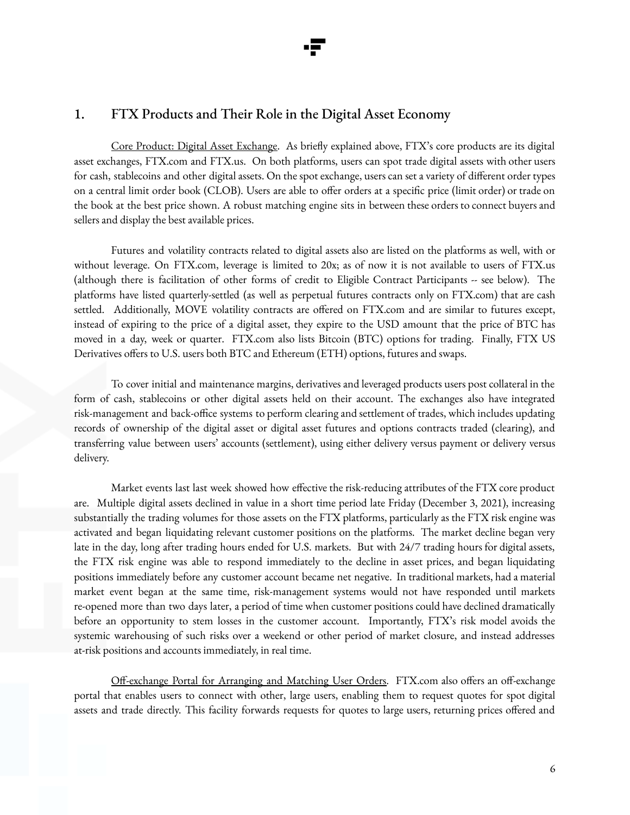## 1. FTX Products and Their Role in the Digital Asset Economy

Core Product: Digital Asset Exchange. As briefly explained above, FTX's core products are its digital asset exchanges, FTX.com and FTX.us. On both platforms, users can spot trade digital assets with other users for cash, stablecoins and other digital assets. On the spot exchange, users can set a variety of different order types on a central limit order book (CLOB). Users are able to offer orders at a specific price (limit order) or trade on the book at the best price shown. A robust matching engine sits in between these orders to connect buyers and sellers and display the best available prices.

Futures and volatility contracts related to digital assets also are listed on the platforms as well, with or without leverage. On FTX.com, leverage is limited to 20x; as of now it is not available to users of FTX.us (although there is facilitation of other forms of credit to Eligible Contract Participants -- see below). The platforms have listed quarterly-settled (as well as perpetual futures contracts only on FTX.com) that are cash settled. Additionally, MOVE volatility contracts are offered on FTX.com and are similar to futures except, instead of expiring to the price of a digital asset, they expire to the USD amount that the price of BTC has moved in a day, week or quarter. FTX.com also lists Bitcoin (BTC) options for trading. Finally, FTX US Derivatives offers to U.S. users both BTC and Ethereum (ETH) options, futures and swaps.

To cover initial and maintenance margins, derivatives and leveraged products users post collateral in the form of cash, stablecoins or other digital assets held on their account. The exchanges also have integrated risk-management and back-office systems to perform clearing and settlement of trades, which includes updating records of ownership of the digital asset or digital asset futures and options contracts traded (clearing), and transferring value between users' accounts (settlement), using either delivery versus payment or delivery versus delivery.

Market events last last week showed how effective the risk-reducing attributes of the FTX core product are. Multiple digital assets declined in value in a short time period late Friday (December 3, 2021), increasing substantially the trading volumes for those assets on the FTX platforms, particularly as the FTX risk engine was activated and began liquidating relevant customer positions on the platforms. The market decline began very late in the day, long after trading hours ended for U.S. markets. But with 24/7 trading hours for digital assets, the FTX risk engine was able to respond immediately to the decline in asset prices, and began liquidating positions immediately before any customer account became net negative. In traditional markets, had a material market event began at the same time, risk-management systems would not have responded until markets re-opened more than two days later, a period of time when customer positions could have declined dramatically before an opportunity to stem losses in the customer account. Importantly, FTX's risk model avoids the systemic warehousing of such risks over a weekend or other period of market closure, and instead addresses at-risk positions and accounts immediately, in real time.

Off-exchange Portal for Arranging and Matching User Orders. FTX.com also offers an off-exchange portal that enables users to connect with other, large users, enabling them to request quotes for spot digital assets and trade directly. This facility forwards requests for quotes to large users, returning prices offered and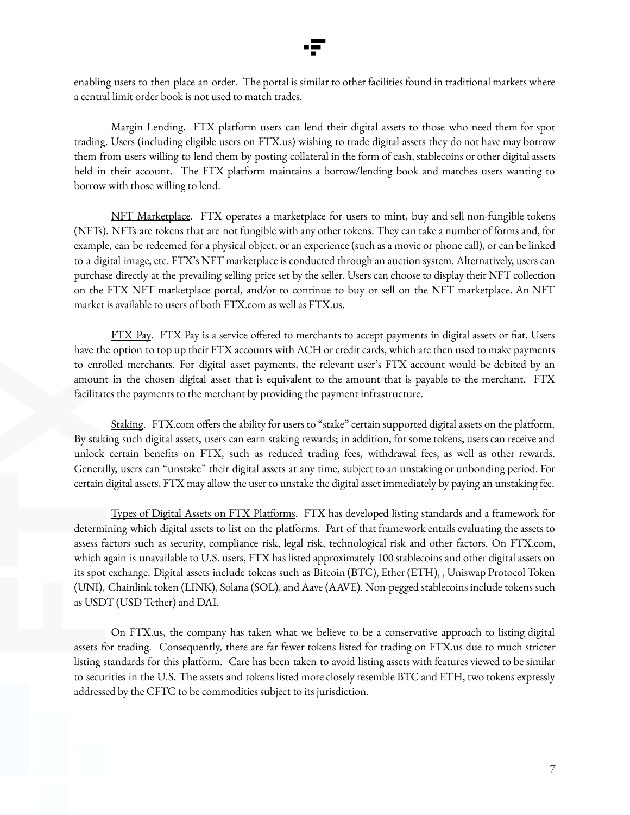

enabling users to then place an order. The portal is similar to other facilities found in traditional markets where a central limit order book is not used to match trades.

Margin Lending. FTX platform users can lend their digital assets to those who need them for spot trading. Users (including eligible users on FTX.us) wishing to trade digital assets they do not have may borrow them from users willing to lend them by posting collateral in the form of cash, stablecoins or other digital assets held in their account. The FTX platform maintains a borrow/lending book and matches users wanting to borrow with those willing to lend.

NFT Marketplace. FTX operates a marketplace for users to mint, buy and sell non-fungible tokens (NFTs). NFTs are tokens that are not fungible with any other tokens. They can take a number of forms and, for example, can be redeemed for a physical object, or an experience (such as a movie or phone call), or can be linked to a digital image, etc. FTX's NFT marketplace is conducted through an auction system. Alternatively, users can purchase directly at the prevailing selling price set by the seller. Users can choose to display their NFT collection on the FTX NFT marketplace portal, and/or to continue to buy or sell on the NFT marketplace. An NFT market is available to users of both FTX.com as well as FTX.us.

FTX Pay. FTX Pay is a service offered to merchants to accept payments in digital assets or fiat. Users have the option to top up their FTX accounts with ACH or credit cards, which are then used to make payments to enrolled merchants. For digital asset payments, the relevant user's FTX account would be debited by an amount in the chosen digital asset that is equivalent to the amount that is payable to the merchant. FTX facilitates the payments to the merchant by providing the payment infrastructure.

Staking. FTX.com offers the ability for users to "stake" certain supported digital assets on the platform. By staking such digital assets, users can earn staking rewards; in addition, for some tokens, users can receive and unlock certain benefits on FTX, such as reduced trading fees, withdrawal fees, as well as other rewards. Generally, users can "unstake" their digital assets at any time, subject to an unstaking or unbonding period. For certain digital assets, FTX may allow the user to unstake the digital asset immediately by paying an unstaking fee.

Types of Digital Assets on FTX Platforms. FTX has developed listing standards and a framework for determining which digital assets to list on the platforms. Part of that framework entails evaluating the assets to assess factors such as security, compliance risk, legal risk, technological risk and other factors. On FTX.com, which again is unavailable to U.S. users, FTX has listed approximately 100 stablecoins and other digital assets on its spot exchange. Digital assets include tokens such as Bitcoin (BTC), Ether (ETH), , Uniswap Protocol Token (UNI), Chainlink token (LINK), Solana (SOL), and Aave (AAVE). Non-pegged stablecoins include tokens such as USDT (USD Tether) and DAI.

On FTX.us, the company has taken what we believe to be a conservative approach to listing digital assets for trading. Consequently, there are far fewer tokens listed for trading on FTX.us due to much stricter listing standards for this platform. Care has been taken to avoid listing assets with features viewed to be similar to securities in the U.S. The assets and tokens listed more closely resemble BTC and ETH, two tokens expressly addressed by the CFTC to be commodities subject to its jurisdiction.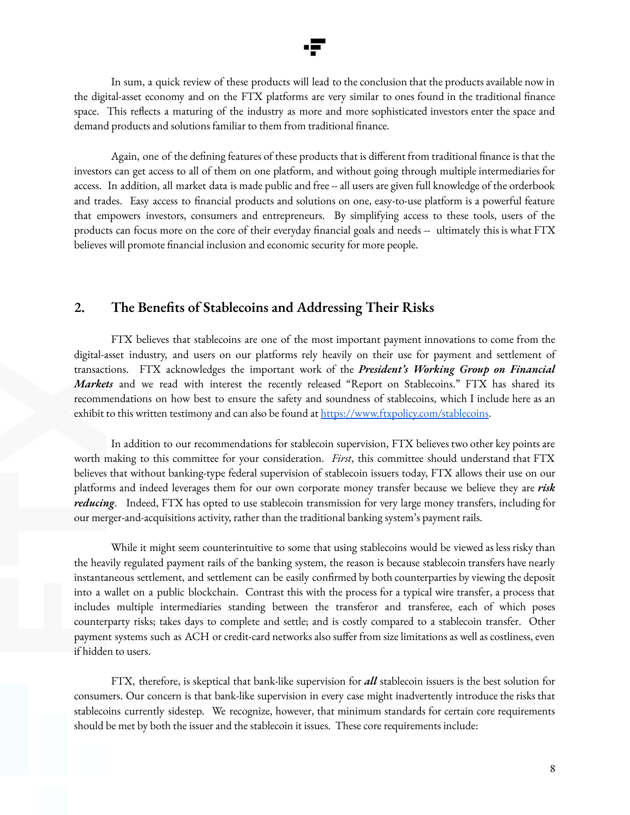

In sum, a quick review of these products will lead to the conclusion that the products available now in the digital-asset economy and on the FTX platforms are very similar to ones found in the traditional finance space. This reflects a maturing of the industry as more and more sophisticated investors enter the space and demand products and solutions familiar to them from traditional finance.

Again, one of the defining features of these products that is different from traditional finance is that the investors can get access to all of them on one platform, and without going through multiple intermediaries for access. In addition, all market data is made public and free -- all users are given full knowledge of the orderbook and trades. Easy access to financial products and solutions on one, easy-to-use platform is a powerful feature that empowers investors, consumers and entrepreneurs. By simplifying access to these tools, users of the products can focus more on the core of their everyday financial goals and needs -- ultimately this is what FTX believes will promote financial inclusion and economic security for more people.

### **2. The Benefits of Stablecoins and Addressing Their Risks**

FTX believes that stablecoins are one of the most important payment innovations to come from the digital-asset industry, and users on our platforms rely heavily on their use for payment and settlement of transactions. FTX acknowledges the important work of the *President's Working Group on Financial Markets* and we read with interest the recently released "Report on Stablecoins." FTX has shared its recommendations on how best to ensure the safety and soundness of stablecoins, which I include here as an exhibit to this written testimony and can also be found at <https://www.ftxpolicy.com/stablecoins>.

In addition to our recommendations for stablecoin supervision, FTX believes two other key points are worth making to this committee for your consideration. *First*, this committee should understand that FTX believes that without banking-type federal supervision of stablecoin issuers today, FTX allows their use on our platforms and indeed leverages them for our own corporate money transfer because we believe they are *risk reducing*. Indeed, FTX has opted to use stablecoin transmission for very large money transfers, including for our merger-and-acquisitions activity, rather than the traditional banking system's payment rails.

While it might seem counterintuitive to some that using stablecoins would be viewed as less risky than the heavily regulated payment rails of the banking system, the reason is because stablecoin transfers have nearly instantaneous settlement, and settlement can be easily confirmed by both counterparties by viewing the deposit into a wallet on a public blockchain. Contrast this with the process for a typical wire transfer, a process that includes multiple intermediaries standing between the transferor and transferee, each of which poses counterparty risks; takes days to complete and settle; and is costly compared to a stablecoin transfer. Other payment systems such as ACH or credit-card networks also suffer from size limitations as well as costliness, even if hidden to users.

FTX, therefore, is skeptical that bank-like supervision for *all* stablecoin issuers is the best solution for consumers. Our concern is that bank-like supervision in every case might inadvertently introduce the risks that stablecoins currently sidestep. We recognize, however, that minimum standards for certain core requirements should be met by both the issuer and the stablecoin it issues. These core requirements include: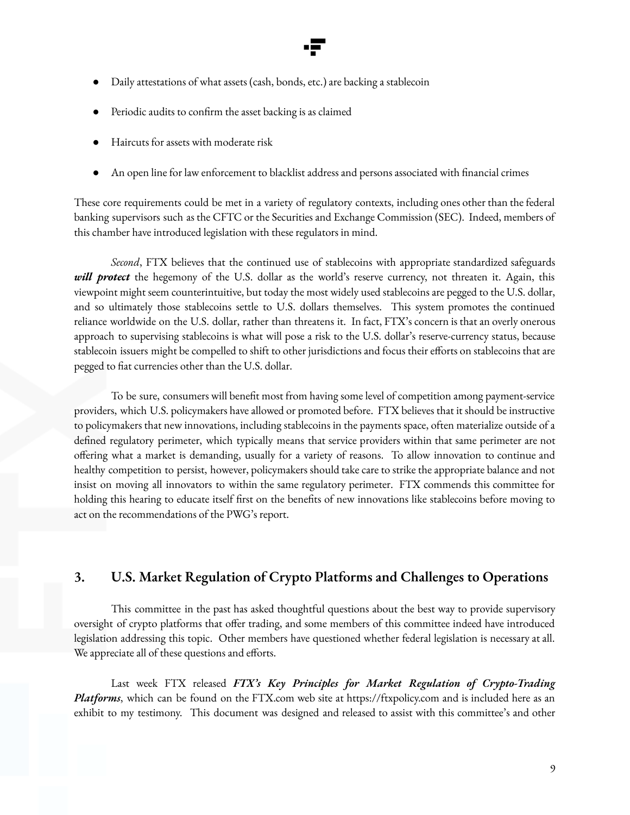

- Daily attestations of what assets (cash, bonds, etc.) are backing a stablecoin
- Periodic audits to confirm the asset backing is as claimed
- Haircuts for assets with moderate risk
- An open line for law enforcement to blacklist address and persons associated with financial crimes

These core requirements could be met in a variety of regulatory contexts, including ones other than the federal banking supervisors such as the CFTC or the Securities and Exchange Commission (SEC). Indeed, members of this chamber have introduced legislation with these regulators in mind.

*Second*, FTX believes that the continued use of stablecoins with appropriate standardized safeguards *will protect* the hegemony of the U.S. dollar as the world's reserve currency, not threaten it. Again, this viewpoint might seem counterintuitive, but today the most widely used stablecoins are pegged to the U.S. dollar, and so ultimately those stablecoins settle to U.S. dollars themselves. This system promotes the continued reliance worldwide on the U.S. dollar, rather than threatens it. In fact, FTX's concern is that an overly onerous approach to supervising stablecoins is what will pose a risk to the U.S. dollar's reserve-currency status, because stablecoin issuers might be compelled to shift to other jurisdictions and focus their efforts on stablecoins that are pegged to fiat currencies other than the U.S. dollar.

To be sure, consumers will benefit most from having some level of competition among payment-service providers, which U.S. policymakers have allowed or promoted before. FTX believes that it should be instructive to policymakers that new innovations, including stablecoins in the payments space, often materialize outside of a defined regulatory perimeter, which typically means that service providers within that same perimeter are not offering what a market is demanding, usually for a variety of reasons. To allow innovation to continue and healthy competition to persist, however, policymakers should take care to strike the appropriate balance and not insist on moving all innovators to within the same regulatory perimeter. FTX commends this committee for holding this hearing to educate itself first on the benefits of new innovations like stablecoins before moving to act on the recommendations of the PWG's report.

### **3. U.S. Market Regulation of Crypto Platforms and Challenges to Operations**

This committee in the past has asked thoughtful questions about the best way to provide supervisory oversight of crypto platforms that offer trading, and some members of this committee indeed have introduced legislation addressing this topic. Other members have questioned whether federal legislation is necessary at all. We appreciate all of these questions and efforts.

Last week FTX released *FTX's Key Principles for Market Regulation of Crypto-Trading Platforms*, which can be found on the FTX.com web site at https://ftxpolicy.com and is included here as an exhibit to my testimony. This document was designed and released to assist with this committee's and other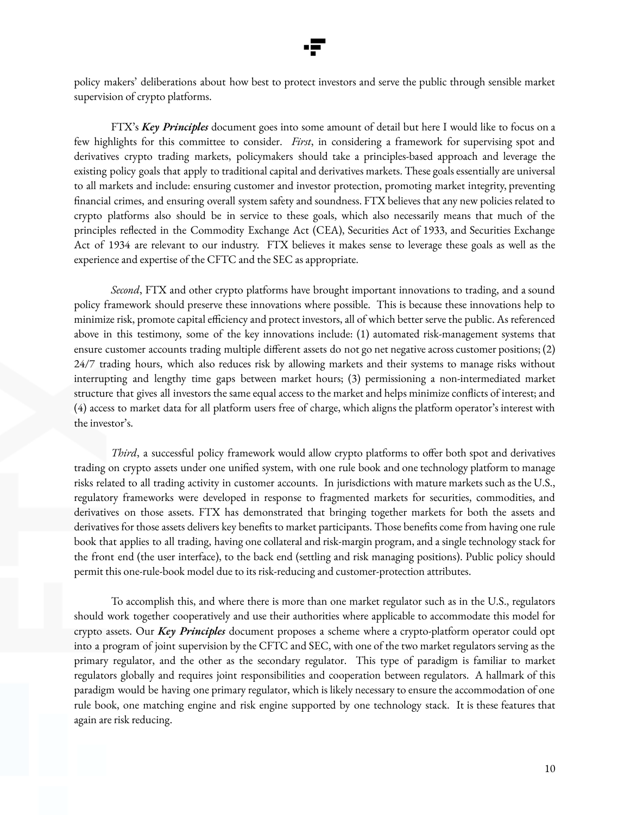

policy makers' deliberations about how best to protect investors and serve the public through sensible market supervision of crypto platforms.

FTX's *Key Principles* document goes into some amount of detail but here I would like to focus on a few highlights for this committee to consider. *First*, in considering a framework for supervising spot and derivatives crypto trading markets, policymakers should take a principles-based approach and leverage the existing policy goals that apply to traditional capital and derivatives markets. These goals essentially are universal to all markets and include: ensuring customer and investor protection, promoting market integrity, preventing financial crimes, and ensuring overall system safety and soundness. FTX believes that any new policies related to crypto platforms also should be in service to these goals, which also necessarily means that much of the principles reflected in the Commodity Exchange Act (CEA), Securities Act of 1933, and Securities Exchange Act of 1934 are relevant to our industry. FTX believes it makes sense to leverage these goals as well as the experience and expertise of the CFTC and the SEC as appropriate.

*Second*, FTX and other crypto platforms have brought important innovations to trading, and a sound policy framework should preserve these innovations where possible. This is because these innovations help to minimize risk, promote capital efficiency and protect investors, all of which better serve the public. As referenced above in this testimony, some of the key innovations include: (1) automated risk-management systems that ensure customer accounts trading multiple different assets do not go net negative across customer positions; (2) 24/7 trading hours, which also reduces risk by allowing markets and their systems to manage risks without interrupting and lengthy time gaps between market hours; (3) permissioning a non-intermediated market structure that gives all investors the same equal access to the market and helps minimize conflicts of interest; and (4) access to market data for all platform users free of charge, which aligns the platform operator's interest with the investor's.

*Third*, a successful policy framework would allow crypto platforms to offer both spot and derivatives trading on crypto assets under one unified system, with one rule book and one technology platform to manage risks related to all trading activity in customer accounts. In jurisdictions with mature markets such as the U.S., regulatory frameworks were developed in response to fragmented markets for securities, commodities, and derivatives on those assets. FTX has demonstrated that bringing together markets for both the assets and derivatives for those assets delivers key benefits to market participants. Those benefits come from having one rule book that applies to all trading, having one collateral and risk-margin program, and a single technology stack for the front end (the user interface), to the back end (settling and risk managing positions). Public policy should permit this one-rule-book model due to its risk-reducing and customer-protection attributes.

To accomplish this, and where there is more than one market regulator such as in the U.S., regulators should work together cooperatively and use their authorities where applicable to accommodate this model for crypto assets. Our *Key Principles* document proposes a scheme where a crypto-platform operator could opt into a program of joint supervision by the CFTC and SEC, with one of the two market regulators serving as the primary regulator, and the other as the secondary regulator. This type of paradigm is familiar to market regulators globally and requires joint responsibilities and cooperation between regulators. A hallmark of this paradigm would be having one primary regulator, which is likely necessary to ensure the accommodation of one rule book, one matching engine and risk engine supported by one technology stack. It is these features that again are risk reducing.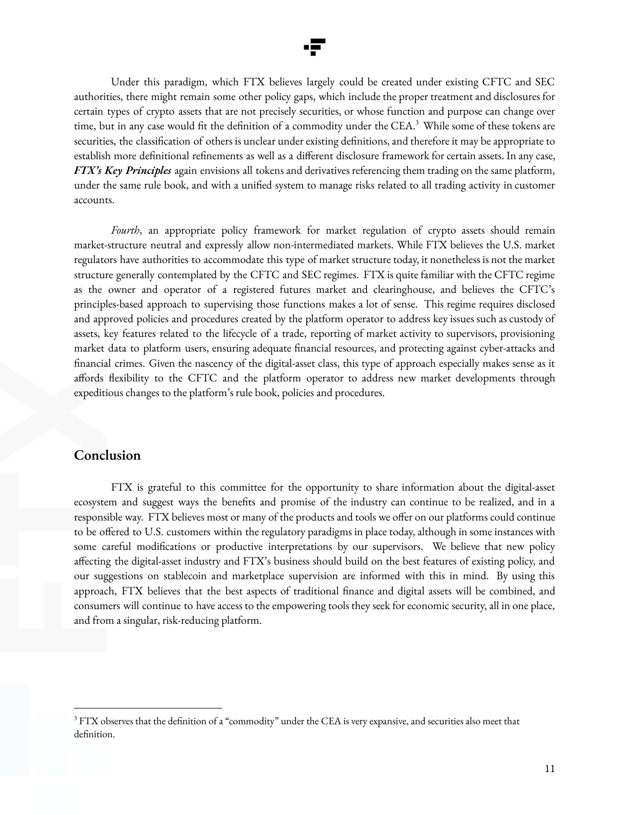

Under this paradigm, which FTX believes largely could be created under existing CFTC and SEC authorities, there might remain some other policy gaps, which include the proper treatment and disclosures for certain types of crypto assets that are not precisely securities, or whose function and purpose can change over time, but in any case would fit the definition of a commodity under the CEA. <sup>3</sup> While some of these tokens are securities, the classification of others is unclear under existing definitions, and therefore it may be appropriate to establish more definitional refinements as well as a different disclosure framework for certain assets. In any case, *FTX's Key Principles* again envisions all tokens and derivatives referencing them trading on the same platform, under the same rule book, and with a unified system to manage risks related to all trading activity in customer accounts.

*Fourth*, an appropriate policy framework for market regulation of crypto assets should remain market-structure neutral and expressly allow non-intermediated markets. While FTX believes the U.S. market regulators have authorities to accommodate this type of market structure today, it nonetheless is not the market structure generally contemplated by the CFTC and SEC regimes. FTX is quite familiar with the CFTC regime as the owner and operator of a registered futures market and clearinghouse, and believes the CFTC's principles-based approach to supervising those functions makes a lot of sense. This regime requires disclosed and approved policies and procedures created by the platform operator to address key issues such as custody of assets, key features related to the lifecycle of a trade, reporting of market activity to supervisors, provisioning market data to platform users, ensuring adequate financial resources, and protecting against cyber-attacks and financial crimes. Given the nascency of the digital-asset class, this type of approach especially makes sense as it affords flexibility to the CFTC and the platform operator to address new market developments through expeditious changes to the platform's rule book, policies and procedures.

### **Conclusion**

FTX is grateful to this committee for the opportunity to share information about the digital-asset ecosystem and suggest ways the benefits and promise of the industry can continue to be realized, and in a responsible way. FTX believes most or many of the products and tools we offer on our platforms could continue to be offered to U.S. customers within the regulatory paradigms in place today, although in some instances with some careful modifications or productive interpretations by our supervisors. We believe that new policy affecting the digital-asset industry and FTX's business should build on the best features of existing policy, and our suggestions on stablecoin and marketplace supervision are informed with this in mind. By using this approach, FTX believes that the best aspects of traditional finance and digital assets will be combined, and consumers will continue to have access to the empowering tools they seek for economic security, all in one place, and from a singular, risk-reducing platform.

 $3$  FTX observes that the definition of a "commodity" under the CEA is very expansive, and securities also meet that definition.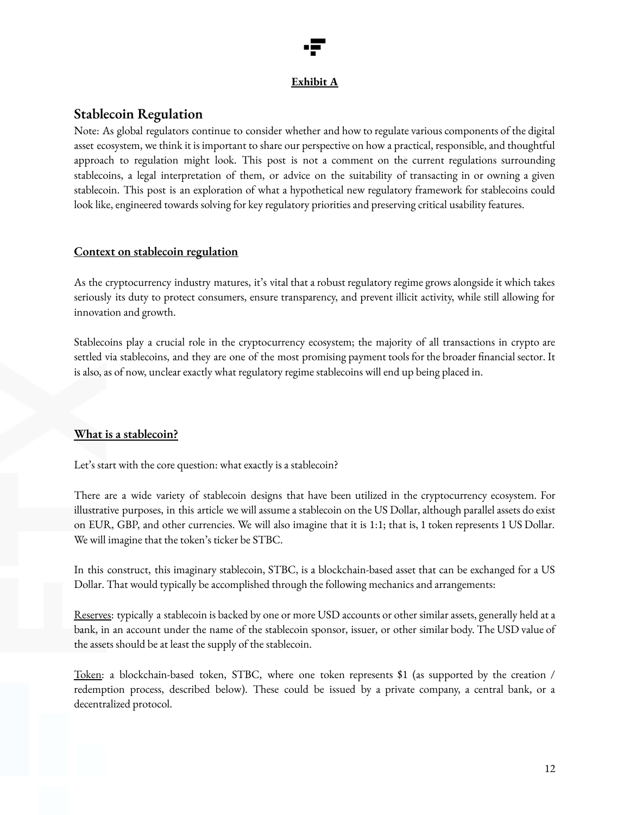### **Exhibit A**

### **Stablecoin Regulation**

Note: As global regulators continue to consider whether and how to regulate various components of the digital asset ecosystem, we think it is important to share our perspective on how a practical, responsible, and thoughtful approach to regulation might look. This post is not a comment on the current regulations surrounding stablecoins, a legal interpretation of them, or advice on the suitability of transacting in or owning a given stablecoin. This post is an exploration of what a hypothetical new regulatory framework for stablecoins could look like, engineered towards solving for key regulatory priorities and preserving critical usability features.

### **Context on stablecoin regulation**

As the cryptocurrency industry matures, it's vital that a robust regulatory regime grows alongside it which takes seriously its duty to protect consumers, ensure transparency, and prevent illicit activity, while still allowing for innovation and growth.

Stablecoins play a crucial role in the cryptocurrency ecosystem; the majority of all transactions in crypto are settled via stablecoins, and they are one of the most promising payment tools for the broader financial sector. It is also, as of now, unclear exactly what regulatory regime stablecoins will end up being placed in.

### **What is a stablecoin?**

Let's start with the core question: what exactly is a stablecoin?

There are a wide variety of stablecoin designs that have been utilized in the cryptocurrency ecosystem. For illustrative purposes, in this article we will assume a stablecoin on the US Dollar, although parallel assets do exist on EUR, GBP, and other currencies. We will also imagine that it is 1:1; that is, 1 token represents 1 US Dollar. We will imagine that the token's ticker be STBC.

In this construct, this imaginary stablecoin, STBC, is a blockchain-based asset that can be exchanged for a US Dollar. That would typically be accomplished through the following mechanics and arrangements:

Reserves: typically a stablecoin is backed by one or more USD accounts or other similar assets, generally held at a bank, in an account under the name of the stablecoin sponsor, issuer, or other similar body. The USD value of the assets should be at least the supply of the stablecoin.

Token: a blockchain-based token, STBC, where one token represents \$1 (as supported by the creation / redemption process, described below). These could be issued by a private company, a central bank, or a decentralized protocol.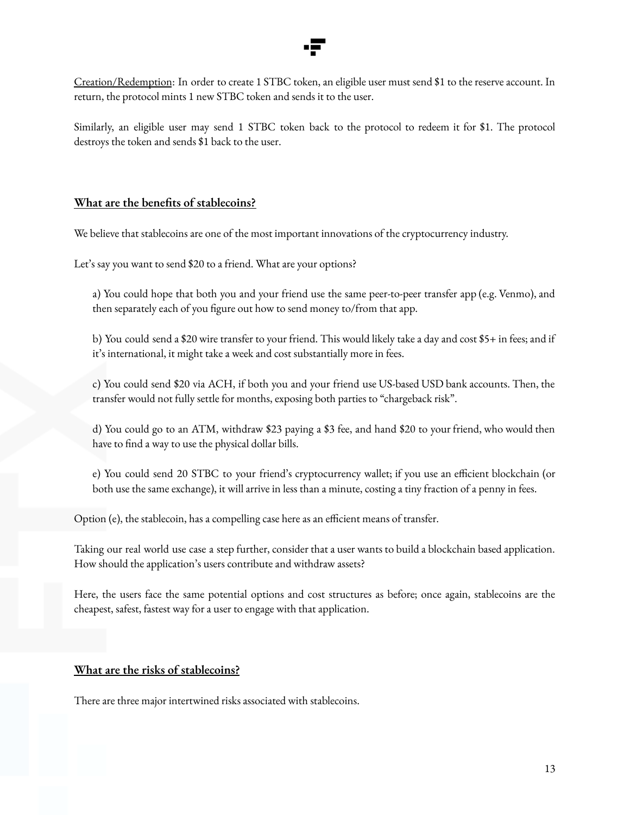

Creation/Redemption: In order to create 1 STBC token, an eligible user must send \$1 to the reserve account. In return, the protocol mints 1 new STBC token and sends it to the user.

Similarly, an eligible user may send 1 STBC token back to the protocol to redeem it for \$1. The protocol destroys the token and sends \$1 back to the user.

### **What are the benefits of stablecoins?**

We believe that stablecoins are one of the most important innovations of the cryptocurrency industry.

Let's say you want to send \$20 to a friend. What are your options?

a) You could hope that both you and your friend use the same peer-to-peer transfer app (e.g. Venmo), and then separately each of you figure out how to send money to/from that app.

b) You could send a \$20 wire transfer to your friend. This would likely take a day and cost \$5+ in fees; and if it's international, it might take a week and cost substantially more in fees.

c) You could send \$20 via ACH, if both you and your friend use US-based USD bank accounts. Then, the transfer would not fully settle for months, exposing both parties to "chargeback risk".

d) You could go to an ATM, withdraw \$23 paying a \$3 fee, and hand \$20 to your friend, who would then have to find a way to use the physical dollar bills.

e) You could send 20 STBC to your friend's cryptocurrency wallet; if you use an efficient blockchain (or both use the same exchange), it will arrive in less than a minute, costing a tiny fraction of a penny in fees.

Option (e), the stablecoin, has a compelling case here as an efficient means of transfer.

Taking our real world use case a step further, consider that a user wants to build a blockchain based application. How should the application's users contribute and withdraw assets?

Here, the users face the same potential options and cost structures as before; once again, stablecoins are the cheapest, safest, fastest way for a user to engage with that application.

### **What are the risks of stablecoins?**

There are three major intertwined risks associated with stablecoins.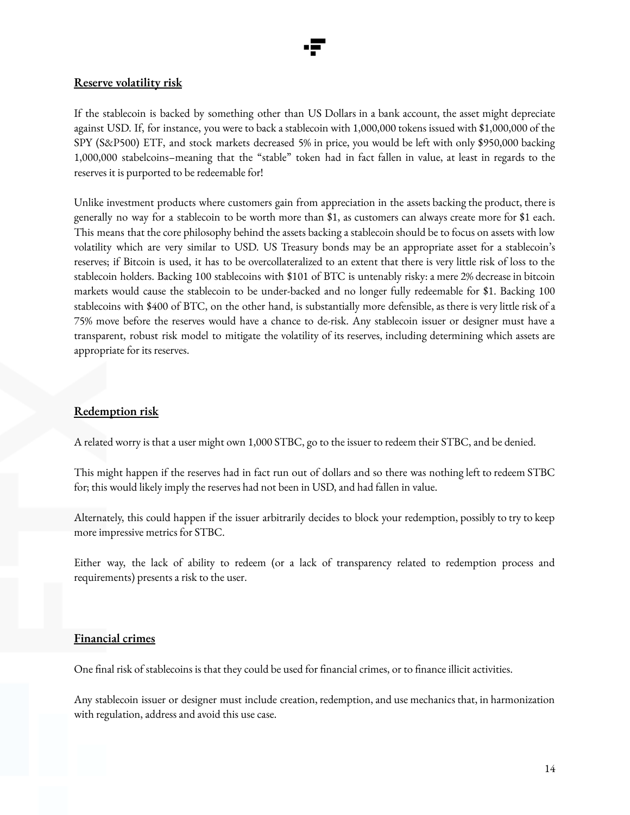

### **Reserve volatility risk**

If the stablecoin is backed by something other than US Dollars in a bank account, the asset might depreciate against USD. If, for instance, you were to back a stablecoin with 1,000,000 tokens issued with \$1,000,000 of the SPY (S&P500) ETF, and stock markets decreased 5% in price, you would be left with only \$950,000 backing 1,000,000 stabelcoins–meaning that the "stable" token had in fact fallen in value, at least in regards to the reserves it is purported to be redeemable for!

Unlike investment products where customers gain from appreciation in the assets backing the product, there is generally no way for a stablecoin to be worth more than \$1, as customers can always create more for \$1 each. This means that the core philosophy behind the assets backing a stablecoin should be to focus on assets with low volatility which are very similar to USD. US Treasury bonds may be an appropriate asset for a stablecoin's reserves; if Bitcoin is used, it has to be overcollateralized to an extent that there is very little risk of loss to the stablecoin holders. Backing 100 stablecoins with \$101 of BTC is untenably risky: a mere 2% decrease in bitcoin markets would cause the stablecoin to be under-backed and no longer fully redeemable for \$1. Backing 100 stablecoins with \$400 of BTC, on the other hand, is substantially more defensible, as there is very little risk of a 75% move before the reserves would have a chance to de-risk. Any stablecoin issuer or designer must have a transparent, robust risk model to mitigate the volatility of its reserves, including determining which assets are appropriate for its reserves.

### **Redemption risk**

A related worry is that a user might own 1,000 STBC, go to the issuer to redeem their STBC, and be denied.

This might happen if the reserves had in fact run out of dollars and so there was nothing left to redeem STBC for; this would likely imply the reserves had not been in USD, and had fallen in value.

Alternately, this could happen if the issuer arbitrarily decides to block your redemption, possibly to try to keep more impressive metrics for STBC.

Either way, the lack of ability to redeem (or a lack of transparency related to redemption process and requirements) presents a risk to the user.

### **Financial crimes**

One final risk of stablecoins is that they could be used for financial crimes, or to finance illicit activities.

Any stablecoin issuer or designer must include creation, redemption, and use mechanics that, in harmonization with regulation, address and avoid this use case.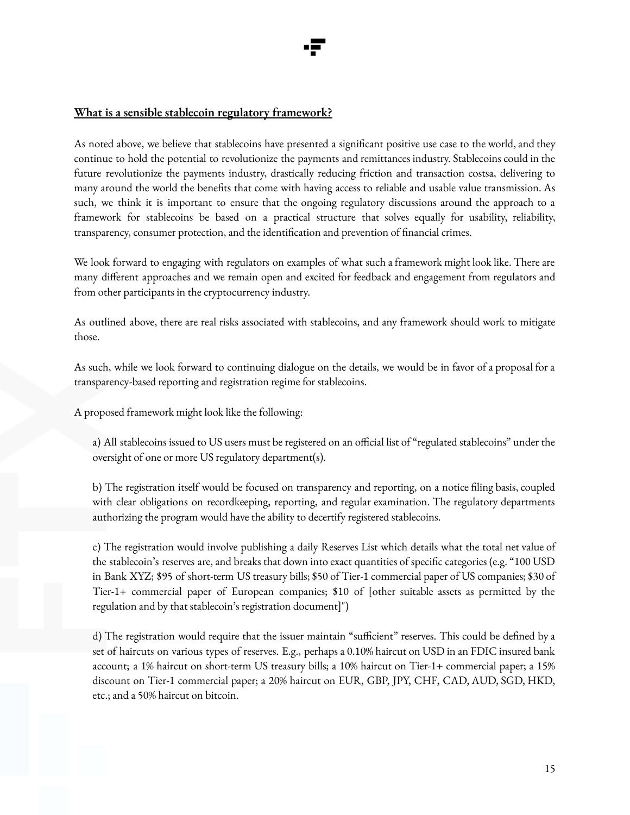### **What is a sensible stablecoin regulatory framework?**

As noted above, we believe that stablecoins have presented a significant positive use case to the world, and they continue to hold the potential to revolutionize the payments and remittances industry. Stablecoins could in the future revolutionize the payments industry, drastically reducing friction and transaction costsa, delivering to many around the world the benefits that come with having access to reliable and usable value transmission. As such, we think it is important to ensure that the ongoing regulatory discussions around the approach to a framework for stablecoins be based on a practical structure that solves equally for usability, reliability, transparency, consumer protection, and the identification and prevention of financial crimes.

We look forward to engaging with regulators on examples of what such a framework might look like. There are many different approaches and we remain open and excited for feedback and engagement from regulators and from other participants in the cryptocurrency industry.

As outlined above, there are real risks associated with stablecoins, and any framework should work to mitigate those.

As such, while we look forward to continuing dialogue on the details, we would be in favor of a proposal for a transparency-based reporting and registration regime for stablecoins.

A proposed framework might look like the following:

a) All stablecoins issued to US users must be registered on an official list of "regulated stablecoins" under the oversight of one or more US regulatory department(s).

b) The registration itself would be focused on transparency and reporting, on a notice filing basis, coupled with clear obligations on recordkeeping, reporting, and regular examination. The regulatory departments authorizing the program would have the ability to decertify registered stablecoins.

c) The registration would involve publishing a daily Reserves List which details what the total net value of the stablecoin's reserves are, and breaks that down into exact quantities of specific categories (e.g. "100 USD in Bank XYZ; \$95 of short-term US treasury bills; \$50 of Tier-1 commercial paper of US companies; \$30 of Tier-1+ commercial paper of European companies; \$10 of [other suitable assets as permitted by the regulation and by that stablecoin's registration document]")

d) The registration would require that the issuer maintain "sufficient" reserves. This could be defined by a set of haircuts on various types of reserves. E.g., perhaps a 0.10% haircut on USD in an FDIC insured bank account; a 1% haircut on short-term US treasury bills; a 10% haircut on Tier-1+ commercial paper; a 15% discount on Tier-1 commercial paper; a 20% haircut on EUR, GBP, JPY, CHF, CAD, AUD, SGD, HKD, etc.; and a 50% haircut on bitcoin.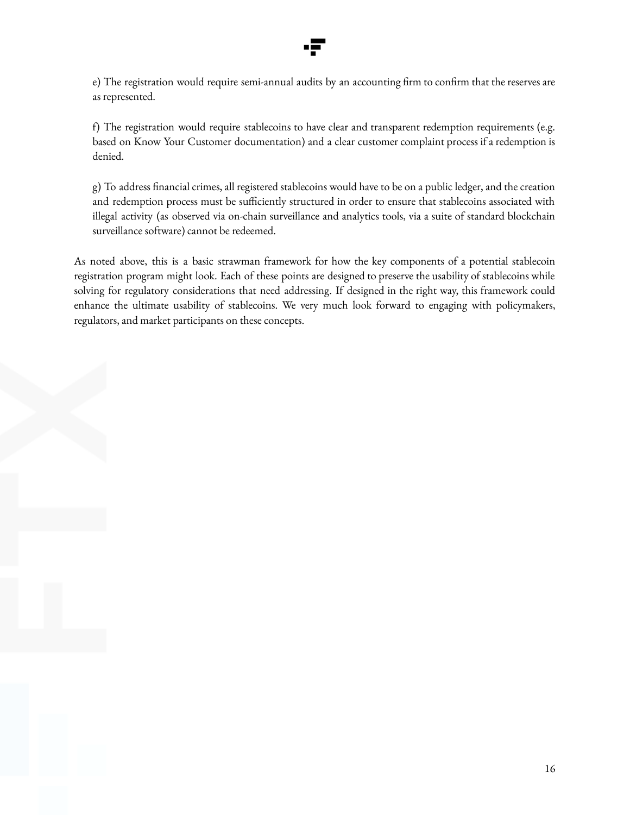

e) The registration would require semi-annual audits by an accounting firm to confirm that the reserves are as represented.

f) The registration would require stablecoins to have clear and transparent redemption requirements (e.g. based on Know Your Customer documentation) and a clear customer complaint process if a redemption is denied.

g) To address financial crimes, all registered stablecoins would have to be on a public ledger, and the creation and redemption process must be sufficiently structured in order to ensure that stablecoins associated with illegal activity (as observed via on-chain surveillance and analytics tools, via a suite of standard blockchain surveillance software) cannot be redeemed.

As noted above, this is a basic strawman framework for how the key components of a potential stablecoin registration program might look. Each of these points are designed to preserve the usability of stablecoins while solving for regulatory considerations that need addressing. If designed in the right way, this framework could enhance the ultimate usability of stablecoins. We very much look forward to engaging with policymakers, regulators, and market participants on these concepts.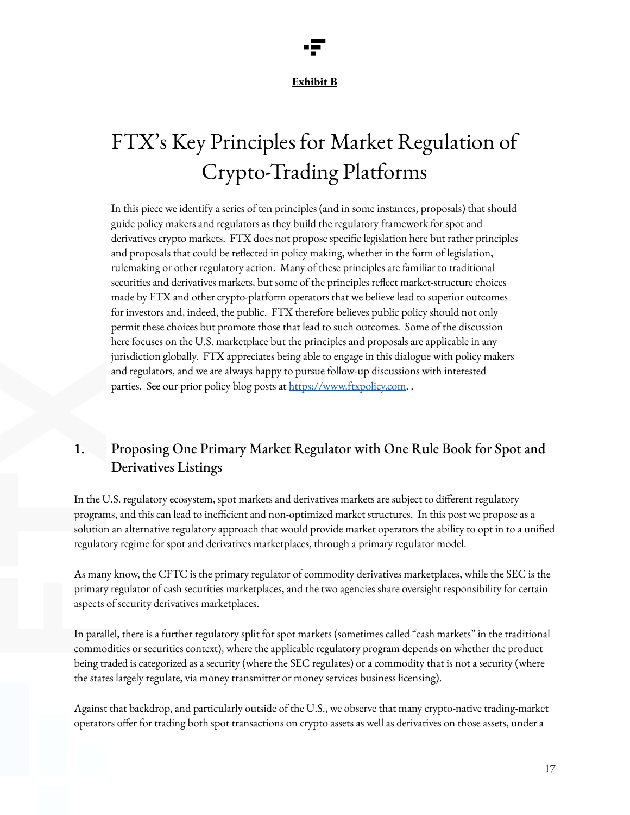### **Exhibit B**

# FTX' s Key Principles for Market Regulation of Crypto-Trading Platforms

In this piece we identify a series of ten principles (and in some instances, proposals) that should guide policy makers and regulators as they build the regulatory framework for spot and derivatives crypto markets. FTX does not propose specific legislation here but rather principles and proposals that could be reflected in policy making, whether in the form of legislation, rulemaking or other regulatory action. Many of these principles are familiar to traditional securities and derivatives markets, but some of the principles reflect market-structure choices made by FTX and other crypto-platform operators that we believe lead to superior outcomes for investors and, indeed, the public. FTX therefore believes public policy should not only permit these choices but promote those that lead to such outcomes. Some of the discussion here focuses on the U.S. marketplace but the principles and proposals are applicable in any jurisdiction globally. FTX appreciates being able to engage in this dialogue with policy makers and regulators, and we are always happy to pursue follow-up discussions with interested parties. See our prior policy blog posts at [https://www.ftxpolicy.com.](https://www.ftxpolicy.com)

# 1. Proposing One Primary Market Regulator with One Rule Book for Spot and Derivatives Listings

In the U.S. regulatory ecosystem, spot markets and derivatives markets are subject to different regulatory programs, and this can lead to inefficient and non-optimized market structures. In this post we propose as a solution an alternative regulatory approach that would provide market operators the ability to opt in to a unified regulatory regime for spot and derivatives marketplaces, through a primary regulator model.

As many know, the CFTC is the primary regulator of commodity derivatives marketplaces, while the SEC is the primary regulator of cash securities marketplaces, and the two agencies share oversight responsibility for certain aspects of security derivatives marketplaces.

In parallel, there is a further regulatory split for spot markets (sometimes called "cash markets" in the traditional commodities or securities context), where the applicable regulatory program depends on whether the product being traded is categorized as a security (where the SEC regulates) or a commodity that is not a security (where the states largely regulate, via money transmitter or money services business licensing).

Against that backdrop, and particularly outside of the U.S., we observe that many crypto-native trading-market operators offer for trading both spot transactions on crypto assets as well as derivatives on those assets, under a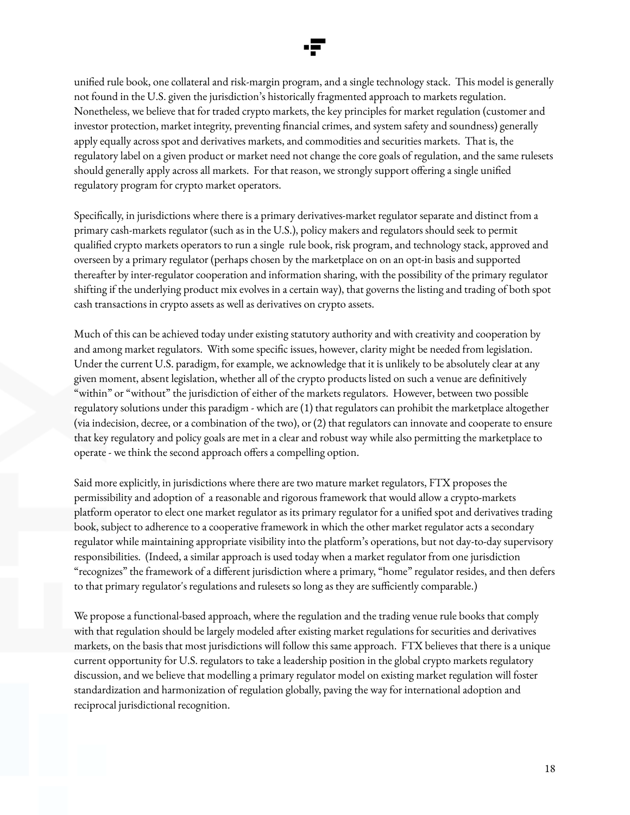

unified rule book, one collateral and risk-margin program, and a single technology stack. This model is generally not found in the U.S. given the jurisdiction's historically fragmented approach to markets regulation. Nonetheless, we believe that for traded crypto markets, the key principles for market regulation (customer and investor protection, market integrity, preventing financial crimes, and system safety and soundness) generally apply equally across spot and derivatives markets, and commodities and securities markets. That is, the regulatory label on a given product or market need not change the core goals of regulation, and the same rulesets should generally apply across all markets. For that reason, we strongly support offering a single unified regulatory program for crypto market operators.

Specifically, in jurisdictions where there is a primary derivatives-market regulator separate and distinct from a primary cash-markets regulator (such as in the U.S.), policy makers and regulators should seek to permit qualified crypto markets operators to run a single rule book, risk program, and technology stack, approved and overseen by a primary regulator (perhaps chosen by the marketplace on on an opt-in basis and supported thereafter by inter-regulator cooperation and information sharing, with the possibility of the primary regulator shifting if the underlying product mix evolves in a certain way), that governs the listing and trading of both spot cash transactions in crypto assets as well as derivatives on crypto assets.

Much of this can be achieved today under existing statutory authority and with creativity and cooperation by and among market regulators. With some specific issues, however, clarity might be needed from legislation. Under the current U.S. paradigm, for example, we acknowledge that it is unlikely to be absolutely clear at any given moment, absent legislation, whether all of the crypto products listed on such a venue are definitively "within" or "without" the jurisdiction of either of the markets regulators. However, between two possible regulatory solutions under this paradigm - which are (1) that regulators can prohibit the marketplace altogether (via indecision, decree, or a combination of the two), or (2) that regulators can innovate and cooperate to ensure that key regulatory and policy goals are met in a clear and robust way while also permitting the marketplace to operate - we think the second approach offers a compelling option.

Said more explicitly, in jurisdictions where there are two mature market regulators, FTX proposes the permissibility and adoption of a reasonable and rigorous framework that would allow a crypto-markets platform operator to elect one market regulator as its primary regulator for a unified spot and derivatives trading book, subject to adherence to a cooperative framework in which the other market regulator acts a secondary regulator while maintaining appropriate visibility into the platform's operations, but not day-to-day supervisory responsibilities. (Indeed, a similar approach is used today when a market regulator from one jurisdiction "recognizes" the framework of a different jurisdiction where a primary, "home" regulator resides, and then defers to that primary regulator's regulations and rulesets so long as they are sufficiently comparable.)

We propose a functional-based approach, where the regulation and the trading venue rule books that comply with that regulation should be largely modeled after existing market regulations for securities and derivatives markets, on the basis that most jurisdictions will follow this same approach. FTX believes that there is a unique current opportunity for U.S. regulators to take a leadership position in the global crypto markets regulatory discussion, and we believe that modelling a primary regulator model on existing market regulation will foster standardization and harmonization of regulation globally, paving the way for international adoption and reciprocal jurisdictional recognition.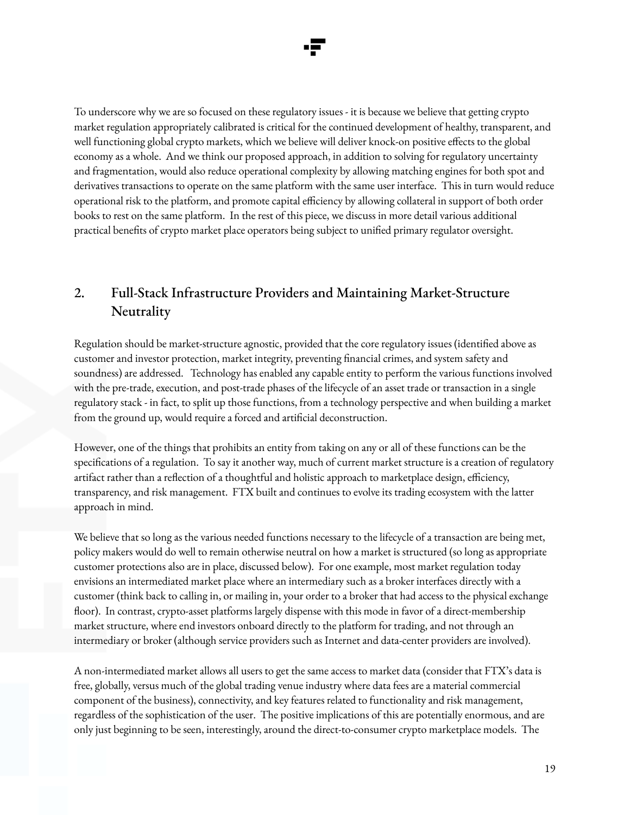To underscore why we are so focused on these regulatory issues - it is because we believe that getting crypto market regulation appropriately calibrated is critical for the continued development of healthy, transparent, and well functioning global crypto markets, which we believe will deliver knock-on positive effects to the global economy as a whole. And we think our proposed approach, in addition to solving for regulatory uncertainty and fragmentation, would also reduce operational complexity by allowing matching engines for both spot and derivatives transactions to operate on the same platform with the same user interface. This in turn would reduce operational risk to the platform, and promote capital efficiency by allowing collateral in support of both order books to rest on the same platform. In the rest of this piece, we discuss in more detail various additional practical benefits of crypto market place operators being subject to unified primary regulator oversight.

# 2. Full-Stack Infrastructure Providers and Maintaining Market-Structure **Neutrality**

Regulation should be market-structure agnostic, provided that the core regulatory issues (identified above as customer and investor protection, market integrity, preventing financial crimes, and system safety and soundness) are addressed. Technology has enabled any capable entity to perform the various functions involved with the pre-trade, execution, and post-trade phases of the lifecycle of an asset trade or transaction in a single regulatory stack - in fact, to split up those functions, from a technology perspective and when building a market from the ground up, would require a forced and artificial deconstruction.

However, one of the things that prohibits an entity from taking on any or all of these functions can be the specifications of a regulation. To say it another way, much of current market structure is a creation of regulatory artifact rather than a reflection of a thoughtful and holistic approach to marketplace design, efficiency, transparency, and risk management. FTX built and continues to evolve its trading ecosystem with the latter approach in mind.

We believe that so long as the various needed functions necessary to the lifecycle of a transaction are being met, policy makers would do well to remain otherwise neutral on how a market is structured (so long as appropriate customer protections also are in place, discussed below). For one example, most market regulation today envisions an intermediated market place where an intermediary such as a broker interfaces directly with a customer (think back to calling in, or mailing in, your order to a broker that had access to the physical exchange floor). In contrast, crypto-asset platforms largely dispense with this mode in favor of a direct-membership market structure, where end investors onboard directly to the platform for trading, and not through an intermediary or broker (although service providers such as Internet and data-center providers are involved).

A non-intermediated market allows all users to get the same access to market data (consider that FTX's data is free, globally, versus much of the global trading venue industry where data fees are a material commercial component of the business), connectivity, and key features related to functionality and risk management, regardless of the sophistication of the user. The positive implications of this are potentially enormous, and are only just beginning to be seen, interestingly, around the direct-to-consumer crypto marketplace models. The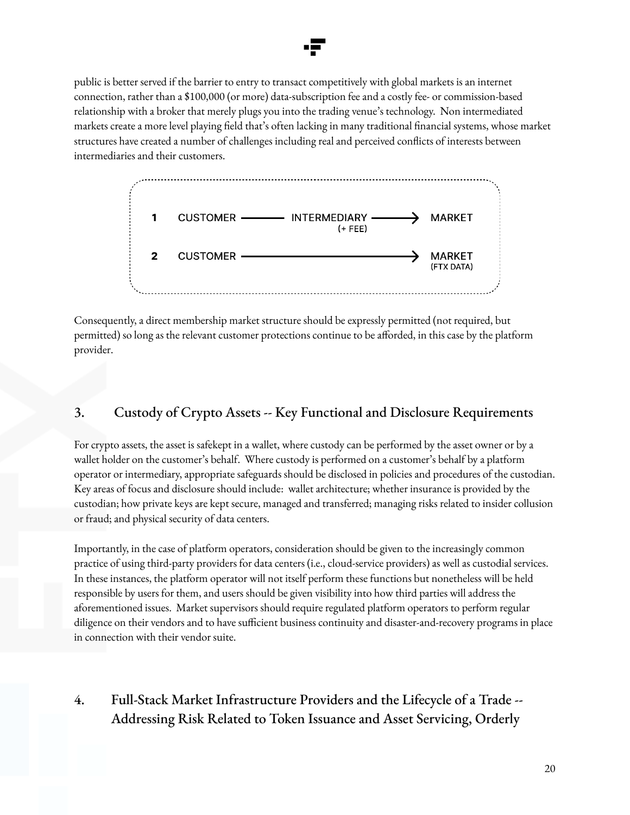

public is better served if the barrier to entry to transact competitively with global markets is an internet connection, rather than a \$100,000 (or more) data-subscription fee and a costly fee- or commission-based relationship with a broker that merely plugs you into the trading venue's technology. Non intermediated markets create a more level playing field that's often lacking in many traditional financial systems, whose market structures have created a number of challenges including real and perceived conflicts of interests between intermediaries and their customers.



Consequently, a direct membership market structure should be expressly permitted (not required, but permitted) so long as the relevant customer protections continue to be afforded, in this case by the platform provider.

# 3. Custody of Crypto Assets -- Key Functional and Disclosure Requirements

For crypto assets, the asset is safekept in a wallet, where custody can be performed by the asset owner or by a wallet holder on the customer's behalf. Where custody is performed on a customer's behalf by a platform operator or intermediary, appropriate safeguards should be disclosed in policies and procedures of the custodian. Key areas of focus and disclosure should include: wallet architecture; whether insurance is provided by the custodian; how private keys are kept secure, managed and transferred; managing risks related to insider collusion or fraud; and physical security of data centers.

Importantly, in the case of platform operators, consideration should be given to the increasingly common practice of using third-party providers for data centers (i.e., cloud-service providers) as well as custodial services. In these instances, the platform operator will not itself perform these functions but nonetheless will be held responsible by users for them, and users should be given visibility into how third parties will address the aforementioned issues. Market supervisors should require regulated platform operators to perform regular diligence on their vendors and to have sufficient business continuity and disaster-and-recovery programs in place in connection with their vendor suite.

# 4. Full-Stack Market Infrastructure Providers and the Lifecycle of a Trade -- Addressing Risk Related to Token Issuance and Asset Servicing, Orderly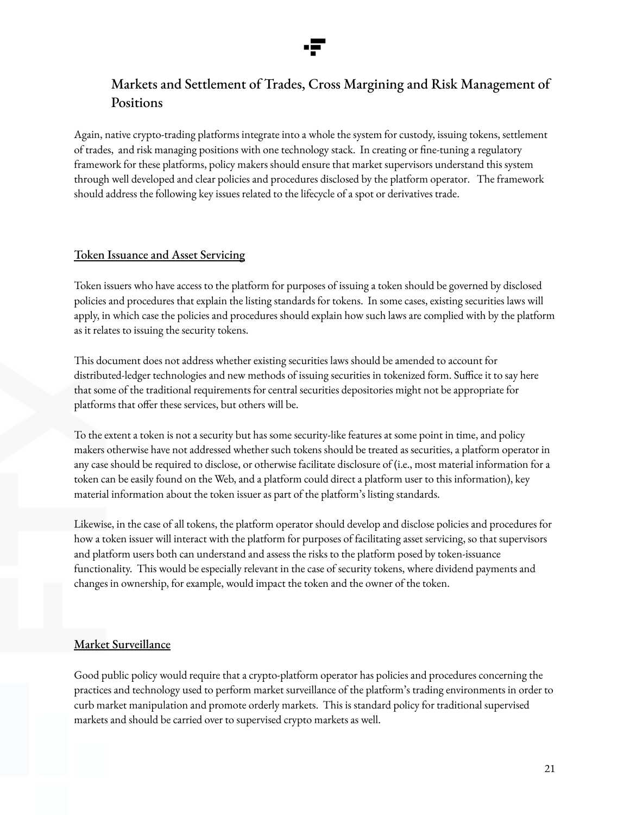

# Markets and Settlement of Trades, Cross Margining and Risk Management of Positions

Again, native crypto-trading platforms integrate into a whole the system for custody, issuing tokens, settlement of trades, and risk managing positions with one technology stack. In creating or fine-tuning a regulatory framework for these platforms, policy makers should ensure that market supervisors understand this system through well developed and clear policies and procedures disclosed by the platform operator. The framework should address the following key issues related to the lifecycle of a spot or derivatives trade.

### Token Issuance and Asset Servicing

Token issuers who have access to the platform for purposes of issuing a token should be governed by disclosed policies and procedures that explain the listing standards for tokens. In some cases, existing securities laws will apply, in which case the policies and procedures should explain how such laws are complied with by the platform as it relates to issuing the security tokens.

This document does not address whether existing securities laws should be amended to account for distributed-ledger technologies and new methods of issuing securities in tokenized form. Suffice it to say here that some of the traditional requirements for central securities depositories might not be appropriate for platforms that offer these services, but others will be.

To the extent a token is not a security but has some security-like features at some point in time, and policy makers otherwise have not addressed whether such tokens should be treated as securities, a platform operator in any case should be required to disclose, or otherwise facilitate disclosure of (i.e., most material information for a token can be easily found on the Web, and a platform could direct a platform user to this information), key material information about the token issuer as part of the platform's listing standards.

Likewise, in the case of all tokens, the platform operator should develop and disclose policies and procedures for how a token issuer will interact with the platform for purposes of facilitating asset servicing, so that supervisors and platform users both can understand and assess the risks to the platform posed by token-issuance functionality. This would be especially relevant in the case of security tokens, where dividend payments and changes in ownership, for example, would impact the token and the owner of the token.

### Market Surveillance

Good public policy would require that a crypto-platform operator has policies and procedures concerning the practices and technology used to perform market surveillance of the platform's trading environments in order to curb market manipulation and promote orderly markets. This is standard policy for traditional supervised markets and should be carried over to supervised crypto markets as well.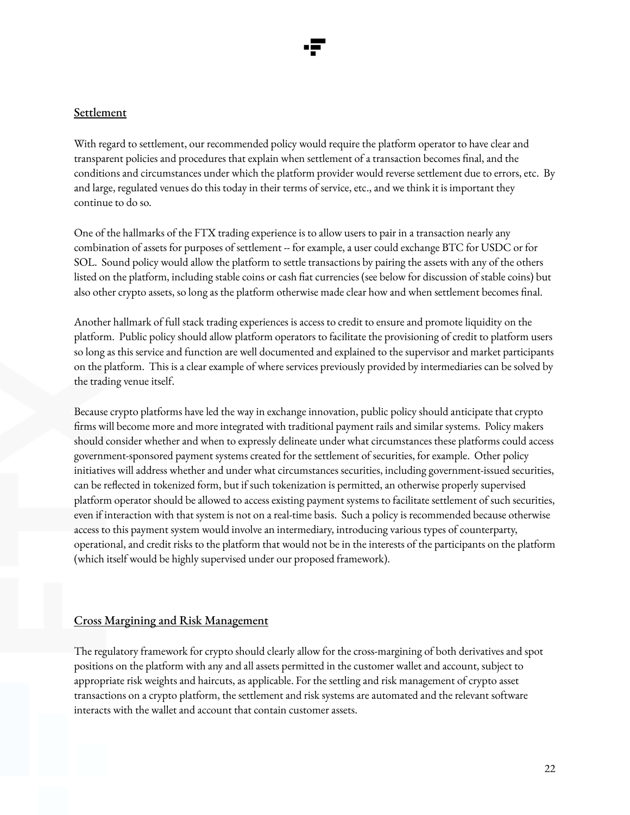### **Settlement**

With regard to settlement, our recommended policy would require the platform operator to have clear and transparent policies and procedures that explain when settlement of a transaction becomes final, and the conditions and circumstances under which the platform provider would reverse settlement due to errors, etc. By and large, regulated venues do this today in their terms of service, etc., and we think it is important they continue to do so.

One of the hallmarks of the FTX trading experience is to allow users to pair in a transaction nearly any combination of assets for purposes of settlement -- for example, a user could exchange BTC for USDC or for SOL. Sound policy would allow the platform to settle transactions by pairing the assets with any of the others listed on the platform, including stable coins or cash fiat currencies (see below for discussion of stable coins) but also other crypto assets, so long as the platform otherwise made clear how and when settlement becomes final.

Another hallmark of full stack trading experiences is access to credit to ensure and promote liquidity on the platform. Public policy should allow platform operators to facilitate the provisioning of credit to platform users so long as this service and function are well documented and explained to the supervisor and market participants on the platform. This is a clear example of where services previously provided by intermediaries can be solved by the trading venue itself.

Because crypto platforms have led the way in exchange innovation, public policy should anticipate that crypto firms will become more and more integrated with traditional payment rails and similar systems. Policy makers should consider whether and when to expressly delineate under what circumstances these platforms could access government-sponsored payment systems created for the settlement of securities, for example. Other policy initiatives will address whether and under what circumstances securities, including government-issued securities, can be reflected in tokenized form, but if such tokenization is permitted, an otherwise properly supervised platform operator should be allowed to access existing payment systems to facilitate settlement of such securities, even if interaction with that system is not on a real-time basis. Such a policy is recommended because otherwise access to this payment system would involve an intermediary, introducing various types of counterparty, operational, and credit risks to the platform that would not be in the interests of the participants on the platform (which itself would be highly supervised under our proposed framework).

### Cross Margining and Risk Management

The regulatory framework for crypto should clearly allow for the cross-margining of both derivatives and spot positions on the platform with any and all assets permitted in the customer wallet and account, subject to appropriate risk weights and haircuts, as applicable. For the settling and risk management of crypto asset transactions on a crypto platform, the settlement and risk systems are automated and the relevant software interacts with the wallet and account that contain customer assets.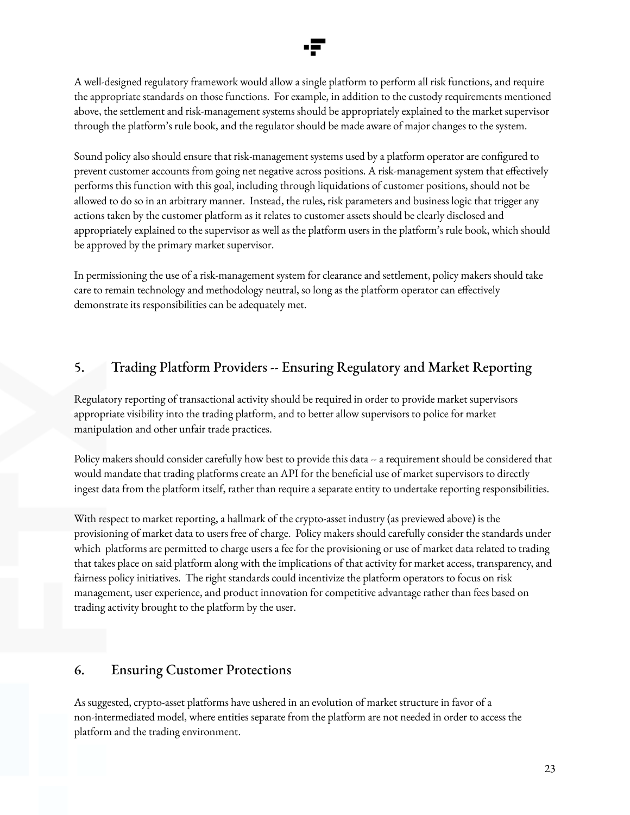A well-designed regulatory framework would allow a single platform to perform all risk functions, and require the appropriate standards on those functions. For example, in addition to the custody requirements mentioned above, the settlement and risk-management systems should be appropriately explained to the market supervisor through the platform's rule book, and the regulator should be made aware of major changes to the system.

Sound policy also should ensure that risk-management systems used by a platform operator are configured to prevent customer accounts from going net negative across positions. A risk-management system that effectively performs this function with this goal, including through liquidations of customer positions, should not be allowed to do so in an arbitrary manner. Instead, the rules, risk parameters and business logic that trigger any actions taken by the customer platform as it relates to customer assets should be clearly disclosed and appropriately explained to the supervisor as well as the platform users in the platform's rule book, which should be approved by the primary market supervisor.

In permissioning the use of a risk-management system for clearance and settlement, policy makers should take care to remain technology and methodology neutral, so long as the platform operator can effectively demonstrate its responsibilities can be adequately met.

## 5. Trading Platform Providers -- Ensuring Regulatory and Market Reporting

Regulatory reporting of transactional activity should be required in order to provide market supervisors appropriate visibility into the trading platform, and to better allow supervisors to police for market manipulation and other unfair trade practices.

Policy makers should consider carefully how best to provide this data -- a requirement should be considered that would mandate that trading platforms create an API for the beneficial use of market supervisors to directly ingest data from the platform itself, rather than require a separate entity to undertake reporting responsibilities.

With respect to market reporting, a hallmark of the crypto-asset industry (as previewed above) is the provisioning of market data to users free of charge. Policy makers should carefully consider the standards under which platforms are permitted to charge users a fee for the provisioning or use of market data related to trading that takes place on said platform along with the implications of that activity for market access, transparency, and fairness policy initiatives. The right standards could incentivize the platform operators to focus on risk management, user experience, and product innovation for competitive advantage rather than fees based on trading activity brought to the platform by the user.

### 6. Ensuring Customer Protections

As suggested, crypto-asset platforms have ushered in an evolution of market structure in favor of a non-intermediated model, where entities separate from the platform are not needed in order to access the platform and the trading environment.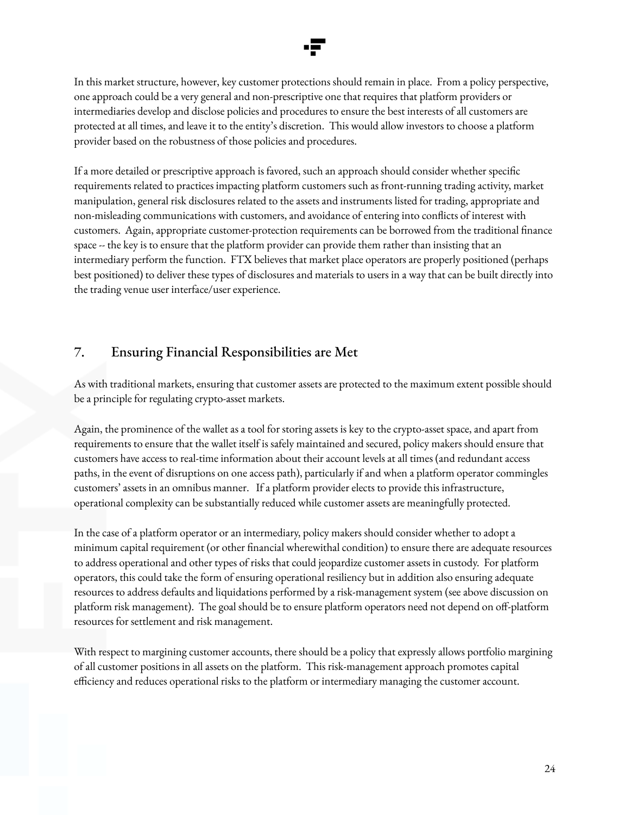In this market structure, however, key customer protections should remain in place. From a policy perspective, one approach could be a very general and non-prescriptive one that requires that platform providers or intermediaries develop and disclose policies and procedures to ensure the best interests of all customers are protected at all times, and leave it to the entity's discretion. This would allow investors to choose a platform provider based on the robustness of those policies and procedures.

If a more detailed or prescriptive approach is favored, such an approach should consider whether specific requirements related to practices impacting platform customers such as front-running trading activity, market manipulation, general risk disclosures related to the assets and instruments listed for trading, appropriate and non-misleading communications with customers, and avoidance of entering into conflicts of interest with customers. Again, appropriate customer-protection requirements can be borrowed from the traditional finance space -- the key is to ensure that the platform provider can provide them rather than insisting that an intermediary perform the function. FTX believes that market place operators are properly positioned (perhaps best positioned) to deliver these types of disclosures and materials to users in a way that can be built directly into the trading venue user interface/user experience.

### 7. Ensuring Financial Responsibilities are Met

As with traditional markets, ensuring that customer assets are protected to the maximum extent possible should be a principle for regulating crypto-asset markets.

Again, the prominence of the wallet as a tool for storing assets is key to the crypto-asset space, and apart from requirements to ensure that the wallet itself is safely maintained and secured, policy makers should ensure that customers have access to real-time information about their account levels at all times (and redundant access paths, in the event of disruptions on one access path), particularly if and when a platform operator commingles customers' assets in an omnibus manner. If a platform provider elects to provide this infrastructure, operational complexity can be substantially reduced while customer assets are meaningfully protected.

In the case of a platform operator or an intermediary, policy makers should consider whether to adopt a minimum capital requirement (or other financial wherewithal condition) to ensure there are adequate resources to address operational and other types of risks that could jeopardize customer assets in custody. For platform operators, this could take the form of ensuring operational resiliency but in addition also ensuring adequate resources to address defaults and liquidations performed by a risk-management system (see above discussion on platform risk management). The goal should be to ensure platform operators need not depend on off-platform resources for settlement and risk management.

With respect to margining customer accounts, there should be a policy that expressly allows portfolio margining of all customer positions in all assets on the platform. This risk-management approach promotes capital efficiency and reduces operational risks to the platform or intermediary managing the customer account.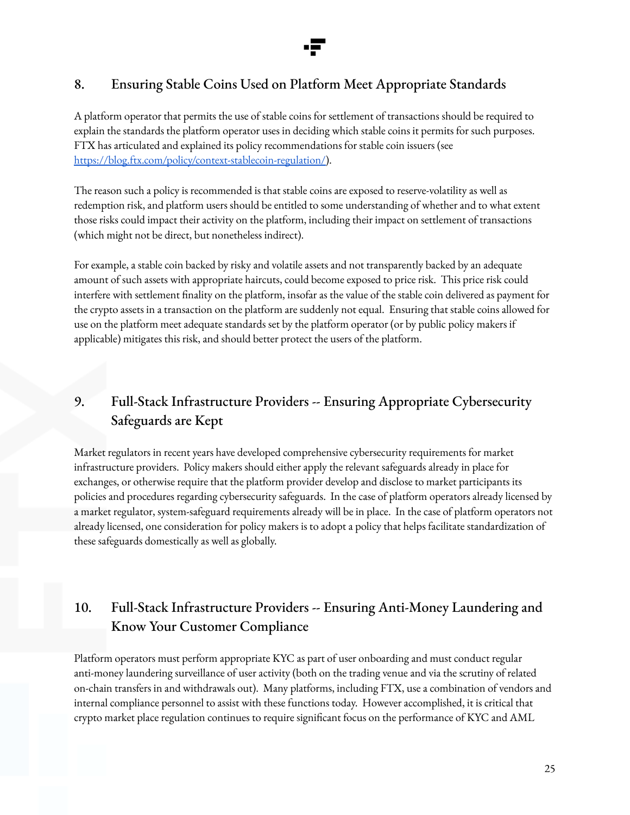# 8. Ensuring Stable Coins Used on Platform Meet Appropriate Standards

A platform operator that permits the use of stable coins for settlement of transactions should be required to explain the standards the platform operator uses in deciding which stable coins it permits for such purposes. FTX has articulated and explained its policy recommendations for stable coin issuers (see [https://blog.ftx.com/policy/context-stablecoin-regulation/\)](https://blog.ftx.com/policy/context-stablecoin-regulation/).

The reason such a policy is recommended is that stable coins are exposed to reserve-volatility as well as redemption risk, and platform users should be entitled to some understanding of whether and to what extent those risks could impact their activity on the platform, including their impact on settlement of transactions (which might not be direct, but nonetheless indirect).

For example, a stable coin backed by risky and volatile assets and not transparently backed by an adequate amount of such assets with appropriate haircuts, could become exposed to price risk. This price risk could interfere with settlement finality on the platform, insofar as the value of the stable coin delivered as payment for the crypto assets in a transaction on the platform are suddenly not equal. Ensuring that stable coins allowed for use on the platform meet adequate standards set by the platform operator (or by public policy makers if applicable) mitigates this risk, and should better protect the users of the platform.

# 9. Full-Stack Infrastructure Providers -- Ensuring Appropriate Cybersecurity Safeguards are Kept

Market regulators in recent years have developed comprehensive cybersecurity requirements for market infrastructure providers. Policy makers should either apply the relevant safeguards already in place for exchanges, or otherwise require that the platform provider develop and disclose to market participants its policies and procedures regarding cybersecurity safeguards. In the case of platform operators already licensed by a market regulator, system-safeguard requirements already will be in place. In the case of platform operators not already licensed, one consideration for policy makers is to adopt a policy that helps facilitate standardization of these safeguards domestically as well as globally.

# 10. Full-Stack Infrastructure Providers -- Ensuring Anti-Money Laundering and Know Your Customer Compliance

Platform operators must perform appropriate KYC as part of user onboarding and must conduct regular anti-money laundering surveillance of user activity (both on the trading venue and via the scrutiny of related on-chain transfers in and withdrawals out). Many platforms, including FTX, use a combination of vendors and internal compliance personnel to assist with these functions today. However accomplished, it is critical that crypto market place regulation continues to require significant focus on the performance of KYC and AML